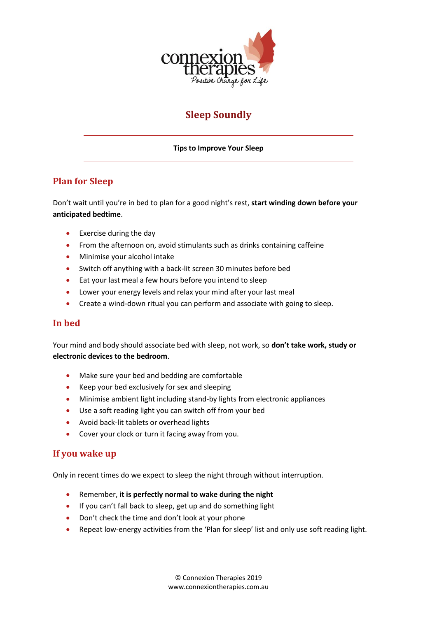

# **Sleep Soundly**

**Tips to Improve Your Sleep**

## **Plan for Sleep**

Don't wait until you're in bed to plan for a good night's rest, **start winding down before your anticipated bedtime**.

- Exercise during the day
- From the afternoon on, avoid stimulants such as drinks containing caffeine
- Minimise your alcohol intake
- Switch off anything with a back-lit screen 30 minutes before bed
- Eat your last meal a few hours before you intend to sleep
- Lower your energy levels and relax your mind after your last meal
- Create a wind-down ritual you can perform and associate with going to sleep.

#### **In bed**

Your mind and body should associate bed with sleep, not work, so **don't take work, study or electronic devices to the bedroom**.

- Make sure your bed and bedding are comfortable
- Keep your bed exclusively for sex and sleeping
- Minimise ambient light including stand-by lights from electronic appliances
- Use a soft reading light you can switch off from your bed
- Avoid back-lit tablets or overhead lights
- Cover your clock or turn it facing away from you.

#### **If you wake up**

Only in recent times do we expect to sleep the night through without interruption.

- Remember, **it is perfectly normal to wake during the night**
- If you can't fall back to sleep, get up and do something light
- Don't check the time and don't look at your phone
- Repeat low-energy activities from the 'Plan for sleep' list and only use soft reading light.